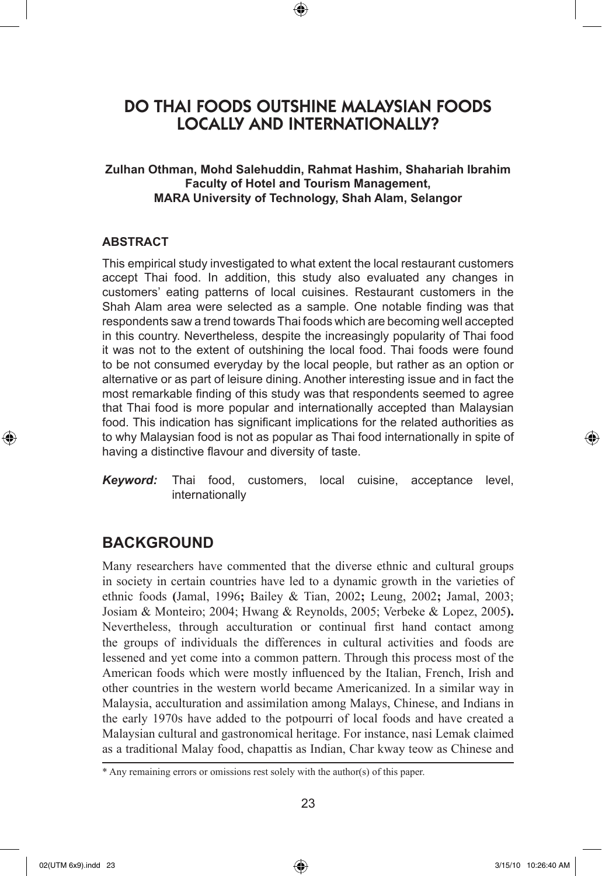# DO THAI FOODS OUTSHINE MALAYSIAN FOODS LOCALLY AND INTERNATIONALLY?

⊕

### **Zulhan Othman, Mohd Salehuddin, Rahmat Hashim, Shahariah Ibrahim Faculty of Hotel and Tourism Management, MARA University of Technology, Shah Alam, Selangor**

### **ABSTRACT**

This empirical study investigated to what extent the local restaurant customers accept Thai food. In addition, this study also evaluated any changes in customers' eating patterns of local cuisines. Restaurant customers in the Shah Alam area were selected as a sample. One notable finding was that respondents saw a trend towards Thai foods which are becoming well accepted in this country. Nevertheless, despite the increasingly popularity of Thai food it was not to the extent of outshining the local food. Thai foods were found to be not consumed everyday by the local people, but rather as an option or alternative or as part of leisure dining. Another interesting issue and in fact the most remarkable finding of this study was that respondents seemed to agree that Thai food is more popular and internationally accepted than Malaysian food. This indication has significant implications for the related authorities as to why Malaysian food is not as popular as Thai food internationally in spite of having a distinctive flavour and diversity of taste.

*Keyword:* Thai food, customers, local cuisine, acceptance level, internationally

# **BACKGROUND**

Many researchers have commented that the diverse ethnic and cultural groups in society in certain countries have led to a dynamic growth in the varieties of ethnic foods **(**Jamal, 1996**;** Bailey & Tian, 2002**;** Leung, 2002**;** Jamal, 2003; Josiam & Monteiro; 2004; Hwang & Reynolds, 2005; Verbeke & Lopez, 2005**).**  Nevertheless, through acculturation or continual first hand contact among the groups of individuals the differences in cultural activities and foods are lessened and yet come into a common pattern. Through this process most of the American foods which were mostly influenced by the Italian, French, Irish and other countries in the western world became Americanized. In a similar way in Malaysia, acculturation and assimilation among Malays, Chinese, and Indians in the early 1970s have added to the potpourri of local foods and have created a Malaysian cultural and gastronomical heritage. For instance, nasi Lemak claimed as a traditional Malay food, chapattis as Indian, Char kway teow as Chinese and

⊕

<sup>\*</sup> Any remaining errors or omissions rest solely with the author(s) of this paper.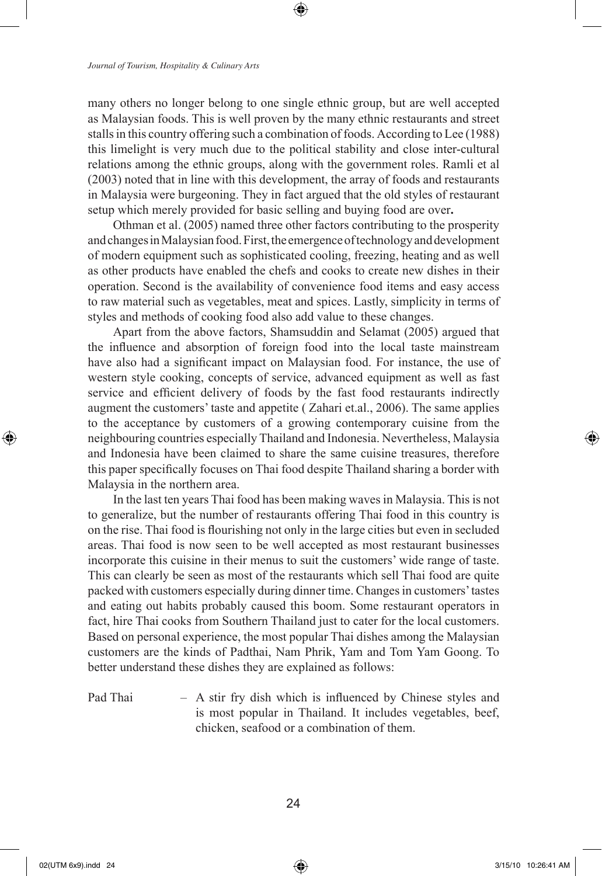many others no longer belong to one single ethnic group, but are well accepted as Malaysian foods. This is well proven by the many ethnic restaurants and street stalls in this country offering such a combination of foods. According to Lee (1988) this limelight is very much due to the political stability and close inter-cultural relations among the ethnic groups, along with the government roles. Ramli et al (2003) noted that in line with this development, the array of foods and restaurants in Malaysia were burgeoning. They in fact argued that the old styles of restaurant setup which merely provided for basic selling and buying food are over**.** 

Othman et al. (2005) named three other factors contributing to the prosperity and changes in Malaysian food. First, the emergence of technology and development of modern equipment such as sophisticated cooling, freezing, heating and as well as other products have enabled the chefs and cooks to create new dishes in their operation. Second is the availability of convenience food items and easy access to raw material such as vegetables, meat and spices. Lastly, simplicity in terms of styles and methods of cooking food also add value to these changes.

Apart from the above factors, Shamsuddin and Selamat (2005) argued that the influence and absorption of foreign food into the local taste mainstream have also had a significant impact on Malaysian food. For instance, the use of western style cooking, concepts of service, advanced equipment as well as fast service and efficient delivery of foods by the fast food restaurants indirectly augment the customers' taste and appetite ( Zahari et.al., 2006). The same applies to the acceptance by customers of a growing contemporary cuisine from the neighbouring countries especially Thailand and Indonesia. Nevertheless, Malaysia and Indonesia have been claimed to share the same cuisine treasures, therefore this paper specifically focuses on Thai food despite Thailand sharing a border with Malaysia in the northern area.

In the last ten years Thai food has been making waves in Malaysia. This is not to generalize, but the number of restaurants offering Thai food in this country is on the rise. Thai food is flourishing not only in the large cities but even in secluded areas. Thai food is now seen to be well accepted as most restaurant businesses incorporate this cuisine in their menus to suit the customers' wide range of taste. This can clearly be seen as most of the restaurants which sell Thai food are quite packed with customers especially during dinner time. Changes in customers' tastes and eating out habits probably caused this boom. Some restaurant operators in fact, hire Thai cooks from Southern Thailand just to cater for the local customers. Based on personal experience, the most popular Thai dishes among the Malaysian customers are the kinds of Padthai, Nam Phrik, Yam and Tom Yam Goong. To better understand these dishes they are explained as follows:

Pad Thai – A stir fry dish which is influenced by Chinese styles and is most popular in Thailand. It includes vegetables, beef, chicken, seafood or a combination of them.

⊕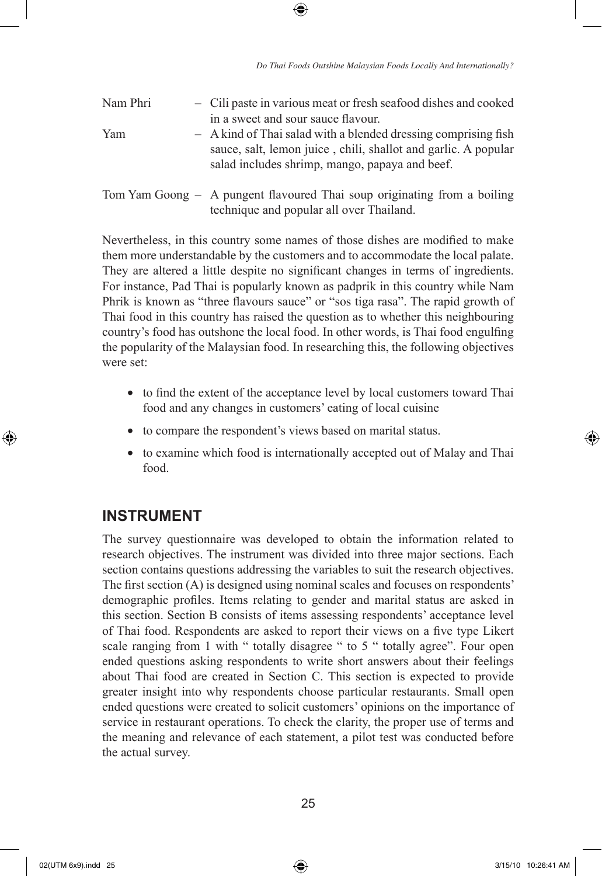| Nam Phri | - Cili paste in various meat or fresh seafood dishes and cooked<br>in a sweet and sour sauce flavour.                                                                              |
|----------|------------------------------------------------------------------------------------------------------------------------------------------------------------------------------------|
| Yam      | - A kind of Thai salad with a blended dressing comprising fish<br>sauce, salt, lemon juice, chili, shallot and garlic. A popular<br>salad includes shrimp, mango, papaya and beef. |
|          | Tom Yam Goong – A pungent flavoured Thai soup originating from a boiling<br>technique and popular all over Thailand.                                                               |

⊕

Nevertheless, in this country some names of those dishes are modified to make them more understandable by the customers and to accommodate the local palate. They are altered a little despite no significant changes in terms of ingredients. For instance, Pad Thai is popularly known as padprik in this country while Nam Phrik is known as "three flavours sauce" or "sos tiga rasa". The rapid growth of Thai food in this country has raised the question as to whether this neighbouring country's food has outshone the local food. In other words, is Thai food engulfing the popularity of the Malaysian food. In researching this, the following objectives were set:

- to find the extent of the acceptance level by local customers toward Thai food and any changes in customers' eating of local cuisine
- to compare the respondent's views based on marital status.
- to examine which food is internationally accepted out of Malay and Thai food.

# **INSTRUMENT**

The survey questionnaire was developed to obtain the information related to research objectives. The instrument was divided into three major sections. Each section contains questions addressing the variables to suit the research objectives. The first section (A) is designed using nominal scales and focuses on respondents' demographic profiles. Items relating to gender and marital status are asked in this section. Section B consists of items assessing respondents' acceptance level of Thai food. Respondents are asked to report their views on a five type Likert scale ranging from 1 with " totally disagree " to 5 " totally agree". Four open ended questions asking respondents to write short answers about their feelings about Thai food are created in Section C. This section is expected to provide greater insight into why respondents choose particular restaurants. Small open ended questions were created to solicit customers' opinions on the importance of service in restaurant operations. To check the clarity, the proper use of terms and the meaning and relevance of each statement, a pilot test was conducted before the actual survey.

 $\bigoplus$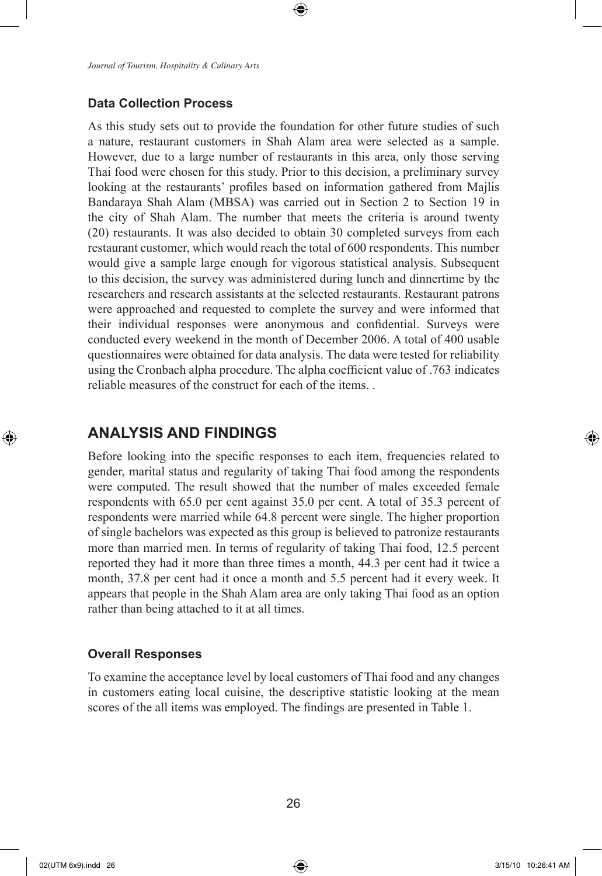*Journal of Tourism, Hospitality & Culinary Arts*

### **Data Collection Process**

As this study sets out to provide the foundation for other future studies of such a nature, restaurant customers in Shah Alam area were selected as a sample. However, due to a large number of restaurants in this area, only those serving Thai food were chosen for this study. Prior to this decision, a preliminary survey looking at the restaurants' profiles based on information gathered from Majlis Bandaraya Shah Alam (MBSA) was carried out in Section 2 to Section 19 in the city of Shah Alam. The number that meets the criteria is around twenty (20) restaurants. It was also decided to obtain 30 completed surveys from each restaurant customer, which would reach the total of 600 respondents. This number would give a sample large enough for vigorous statistical analysis. Subsequent to this decision, the survey was administered during lunch and dinnertime by the researchers and research assistants at the selected restaurants. Restaurant patrons were approached and requested to complete the survey and were informed that their individual responses were anonymous and confidential. Surveys were conducted every weekend in the month of December 2006. A total of 400 usable questionnaires were obtained for data analysis. The data were tested for reliability using the Cronbach alpha procedure. The alpha coefficient value of .763 indicates reliable measures of the construct for each of the items. .

⊕

# **ANALYSIS AND FINDINGS**

Before looking into the specific responses to each item, frequencies related to gender, marital status and regularity of taking Thai food among the respondents were computed. The result showed that the number of males exceeded female respondents with 65.0 per cent against 35.0 per cent. A total of 35.3 percent of respondents were married while 64.8 percent were single. The higher proportion of single bachelors was expected as this group is believed to patronize restaurants more than married men. In terms of regularity of taking Thai food, 12.5 percent reported they had it more than three times a month, 44.3 per cent had it twice a month, 37.8 per cent had it once a month and 5.5 percent had it every week. It appears that people in the Shah Alam area are only taking Thai food as an option rather than being attached to it at all times.

#### **Overall Responses**

To examine the acceptance level by local customers of Thai food and any changes in customers eating local cuisine, the descriptive statistic looking at the mean scores of the all items was employed. The findings are presented in Table 1.

⊕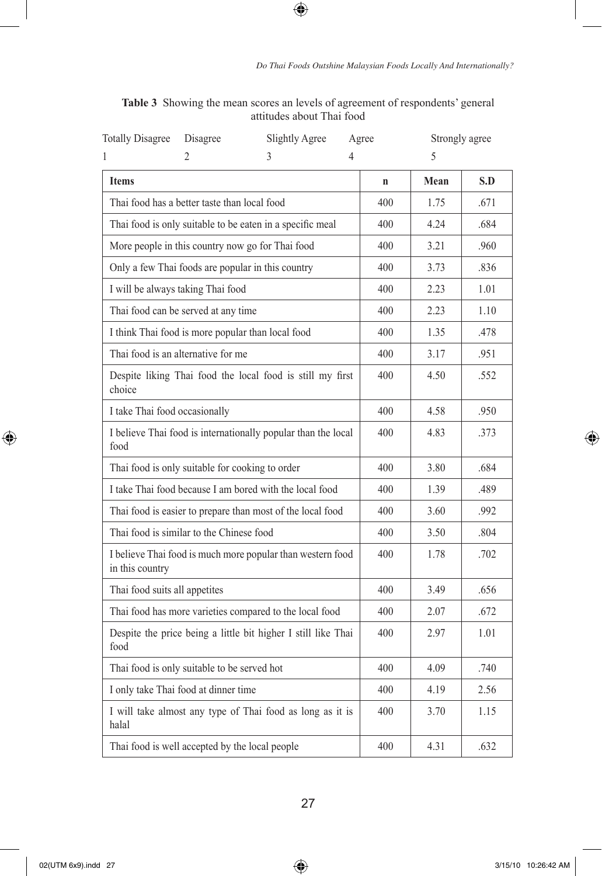| <b>Totally Disagree</b>                                                       | Disagree | Slightly Agree                                             | Agree | Strongly agree |      |  |
|-------------------------------------------------------------------------------|----------|------------------------------------------------------------|-------|----------------|------|--|
| 1                                                                             | 2        | 3                                                          | 4     | 5              |      |  |
| <b>Items</b>                                                                  |          | $\mathbf n$                                                | Mean  | S.D            |      |  |
| Thai food has a better taste than local food                                  |          | 400                                                        | 1.75  | .671           |      |  |
| Thai food is only suitable to be eaten in a specific meal                     |          | 400                                                        | 4.24  | .684           |      |  |
| More people in this country now go for Thai food                              |          | 400                                                        | 3.21  | .960           |      |  |
| Only a few Thai foods are popular in this country                             |          | 400                                                        | 3.73  | .836           |      |  |
| I will be always taking Thai food                                             |          | 400                                                        | 2.23  | 1.01           |      |  |
| Thai food can be served at any time                                           |          | 400                                                        | 2.23  | 1.10           |      |  |
| I think Thai food is more popular than local food                             |          | 400                                                        | 1.35  | .478           |      |  |
| Thai food is an alternative for me                                            |          | 400                                                        | 3.17  | .951           |      |  |
| Despite liking Thai food the local food is still my first<br>choice           |          | 400                                                        | 4.50  | .552           |      |  |
| I take Thai food occasionally                                                 |          | 400                                                        | 4.58  | .950           |      |  |
| I believe Thai food is internationally popular than the local<br>food         |          | 400                                                        | 4.83  | .373           |      |  |
| Thai food is only suitable for cooking to order                               |          |                                                            | 400   | 3.80           | .684 |  |
|                                                                               |          | I take Thai food because I am bored with the local food    | 400   | 1.39           | .489 |  |
|                                                                               |          | Thai food is easier to prepare than most of the local food | 400   | 3.60           | .992 |  |
| Thai food is similar to the Chinese food                                      |          |                                                            | 400   | 3.50           | .804 |  |
| I believe Thai food is much more popular than western food<br>in this country |          | 400                                                        | 1.78  | .702           |      |  |
| Thai food suits all appetites                                                 |          | 400                                                        | 3.49  | .656           |      |  |
| Thai food has more varieties compared to the local food                       |          | 400                                                        | 2.07  | .672           |      |  |
| Despite the price being a little bit higher I still like Thai<br>food         |          | 400                                                        | 2.97  | 1.01           |      |  |
| Thai food is only suitable to be served hot                                   |          | 400                                                        | 4.09  | .740           |      |  |
| I only take Thai food at dinner time                                          |          | 400                                                        | 4.19  | 2.56           |      |  |
| I will take almost any type of Thai food as long as it is<br>halal            |          | 400                                                        | 3.70  | 1.15           |      |  |
| Thai food is well accepted by the local people                                |          | 400                                                        | 4.31  | .632           |      |  |

**Table 3** Showing the mean scores an levels of agreement of respondents' general attitudes about Thai food

 $\bigoplus$ 

 $\bigoplus$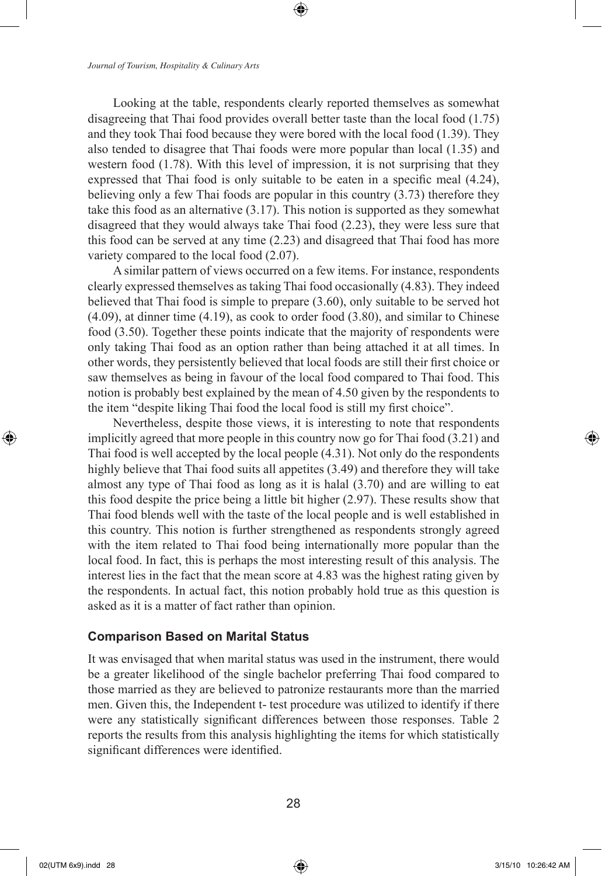*Journal of Tourism, Hospitality & Culinary Arts*

Looking at the table, respondents clearly reported themselves as somewhat disagreeing that Thai food provides overall better taste than the local food (1.75) and they took Thai food because they were bored with the local food (1.39). They also tended to disagree that Thai foods were more popular than local (1.35) and western food (1.78). With this level of impression, it is not surprising that they expressed that Thai food is only suitable to be eaten in a specific meal (4.24), believing only a few Thai foods are popular in this country (3.73) therefore they take this food as an alternative (3.17). This notion is supported as they somewhat disagreed that they would always take Thai food (2.23), they were less sure that this food can be served at any time (2.23) and disagreed that Thai food has more variety compared to the local food (2.07).

⊕

A similar pattern of views occurred on a few items. For instance, respondents clearly expressed themselves as taking Thai food occasionally (4.83). They indeed believed that Thai food is simple to prepare (3.60), only suitable to be served hot (4.09), at dinner time (4.19), as cook to order food (3.80), and similar to Chinese food (3.50). Together these points indicate that the majority of respondents were only taking Thai food as an option rather than being attached it at all times. In other words, they persistently believed that local foods are still their first choice or saw themselves as being in favour of the local food compared to Thai food. This notion is probably best explained by the mean of 4.50 given by the respondents to the item "despite liking Thai food the local food is still my first choice".

Nevertheless, despite those views, it is interesting to note that respondents implicitly agreed that more people in this country now go for Thai food (3.21) and Thai food is well accepted by the local people (4.31). Not only do the respondents highly believe that Thai food suits all appetites (3.49) and therefore they will take almost any type of Thai food as long as it is halal (3.70) and are willing to eat this food despite the price being a little bit higher (2.97). These results show that Thai food blends well with the taste of the local people and is well established in this country. This notion is further strengthened as respondents strongly agreed with the item related to Thai food being internationally more popular than the local food. In fact, this is perhaps the most interesting result of this analysis. The interest lies in the fact that the mean score at 4.83 was the highest rating given by the respondents. In actual fact, this notion probably hold true as this question is asked as it is a matter of fact rather than opinion.

### **Comparison Based on Marital Status**

It was envisaged that when marital status was used in the instrument, there would be a greater likelihood of the single bachelor preferring Thai food compared to those married as they are believed to patronize restaurants more than the married men. Given this, the Independent t- test procedure was utilized to identify if there were any statistically significant differences between those responses. Table 2 reports the results from this analysis highlighting the items for which statistically significant differences were identified.

02(UTM 6x9).indd 28 3/15/10 10:26:42 AM

⊕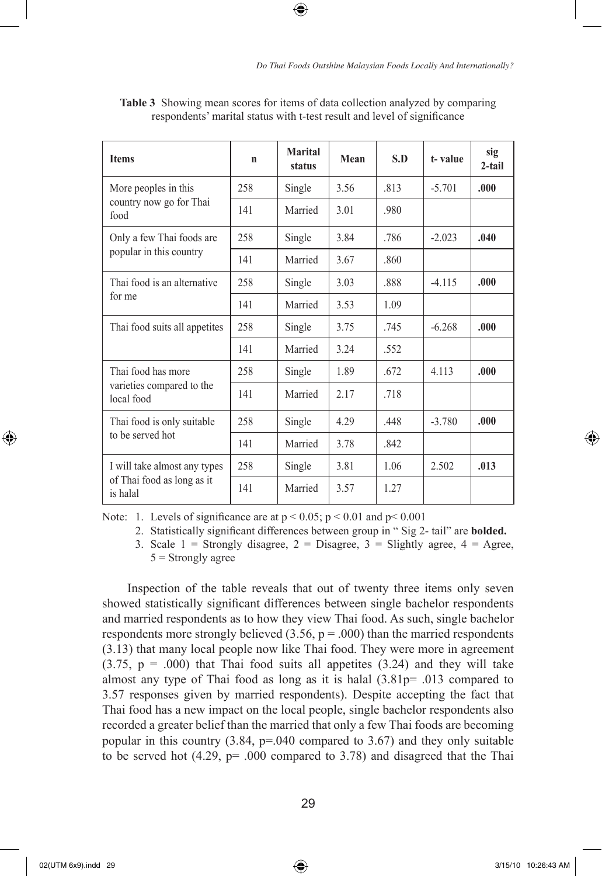| <b>Items</b>                            | n   | Marital<br>status | Mean | S.D  | t-value  | sig<br>$2-tail$ |
|-----------------------------------------|-----|-------------------|------|------|----------|-----------------|
| More peoples in this                    | 258 | Single            | 3.56 | .813 | $-5.701$ | .000            |
| country now go for Thai<br>food         | 141 | Married           | 3.01 | .980 |          |                 |
| Only a few Thai foods are               | 258 | Single            | 3.84 | .786 | $-2.023$ | .040            |
| popular in this country                 | 141 | Married           | 3.67 | .860 |          |                 |
| Thai food is an alternative             | 258 | Single            | 3.03 | .888 | $-4.115$ | .000.           |
| for me                                  | 141 | Married           | 3.53 | 1.09 |          |                 |
| Thai food suits all appetites           | 258 | Single            | 3.75 | .745 | $-6.268$ | .000            |
|                                         | 141 | Married           | 3.24 | .552 |          |                 |
| Thai food has more                      | 258 | Single            | 1.89 | .672 | 4.113    | .000            |
| varieties compared to the<br>local food | 141 | Married           | 2.17 | .718 |          |                 |
| Thai food is only suitable              | 258 | Single            | 4.29 | .448 | $-3.780$ | .000            |
| to be served hot                        | 141 | Married           | 3.78 | .842 |          |                 |
| I will take almost any types            | 258 | Single            | 3.81 | 1.06 | 2.502    | .013            |
| of Thai food as long as it<br>is halal  | 141 | Married           | 3.57 | 1.27 |          |                 |

**Table 3** Showing mean scores for items of data collection analyzed by comparing respondents' marital status with t-test result and level of significance

⊕

Note: 1. Levels of significance are at  $p < 0.05$ ;  $p < 0.01$  and  $p < 0.001$ 

2. Statistically significant differences between group in " Sig 2- tail" are **bolded.**

3. Scale  $1 =$  Strongly disagree,  $2 =$  Disagree,  $3 =$  Slightly agree,  $4 =$  Agree,  $5$  = Strongly agree

Inspection of the table reveals that out of twenty three items only seven showed statistically significant differences between single bachelor respondents and married respondents as to how they view Thai food. As such, single bachelor respondents more strongly believed  $(3.56, p = .000)$  than the married respondents (3.13) that many local people now like Thai food. They were more in agreement  $(3.75, p = .000)$  that Thai food suits all appetites  $(3.24)$  and they will take almost any type of Thai food as long as it is halal  $(3.81p=0.013$  compared to 3.57 responses given by married respondents). Despite accepting the fact that Thai food has a new impact on the local people, single bachelor respondents also recorded a greater belief than the married that only a few Thai foods are becoming popular in this country (3.84, p=.040 compared to 3.67) and they only suitable to be served hot (4.29, p= .000 compared to 3.78) and disagreed that the Thai

⊕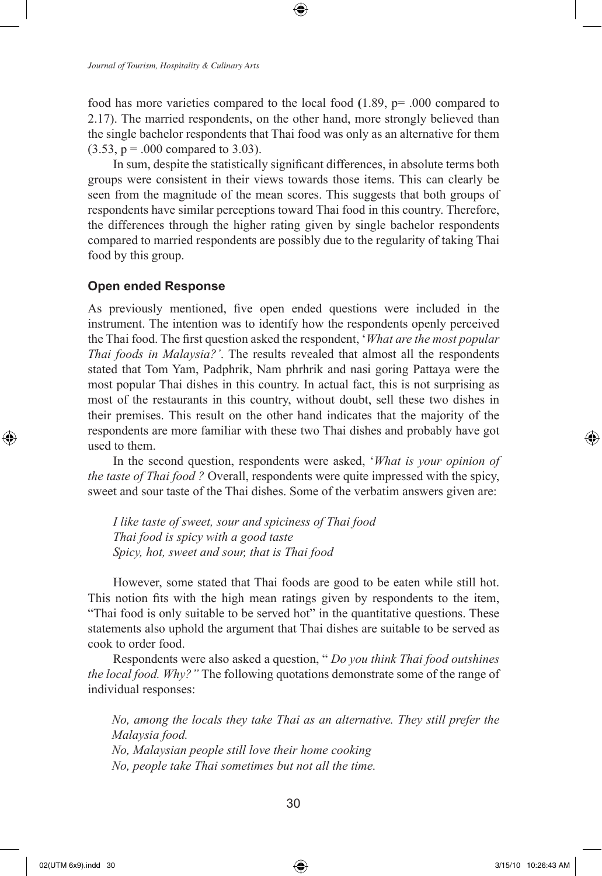*Journal of Tourism, Hospitality & Culinary Arts*

food has more varieties compared to the local food **(**1.89, p= .000 compared to 2.17). The married respondents, on the other hand, more strongly believed than the single bachelor respondents that Thai food was only as an alternative for them  $(3.53, p = .000$  compared to 3.03).

In sum, despite the statistically significant differences, in absolute terms both groups were consistent in their views towards those items. This can clearly be seen from the magnitude of the mean scores. This suggests that both groups of respondents have similar perceptions toward Thai food in this country. Therefore, the differences through the higher rating given by single bachelor respondents compared to married respondents are possibly due to the regularity of taking Thai food by this group.

### **Open ended Response**

As previously mentioned, five open ended questions were included in the instrument. The intention was to identify how the respondents openly perceived the Thai food. The first question asked the respondent, '*What are the most popular Thai foods in Malaysia?'*. The results revealed that almost all the respondents stated that Tom Yam, Padphrik, Nam phrhrik and nasi goring Pattaya were the most popular Thai dishes in this country. In actual fact, this is not surprising as most of the restaurants in this country, without doubt, sell these two dishes in their premises. This result on the other hand indicates that the majority of the respondents are more familiar with these two Thai dishes and probably have got used to them.

In the second question, respondents were asked, '*What is your opinion of the taste of Thai food ?* Overall, respondents were quite impressed with the spicy, sweet and sour taste of the Thai dishes. Some of the verbatim answers given are:

*I like taste of sweet, sour and spiciness of Thai food Thai food is spicy with a good taste Spicy, hot, sweet and sour, that is Thai food*

However, some stated that Thai foods are good to be eaten while still hot. This notion fits with the high mean ratings given by respondents to the item, "Thai food is only suitable to be served hot" in the quantitative questions. These statements also uphold the argument that Thai dishes are suitable to be served as cook to order food.

Respondents were also asked a question, " *Do you think Thai food outshines the local food. Why?"* The following quotations demonstrate some of the range of individual responses:

*No, among the locals they take Thai as an alternative. They still prefer the Malaysia food. No, Malaysian people still love their home cooking No, people take Thai sometimes but not all the time.* 

⊕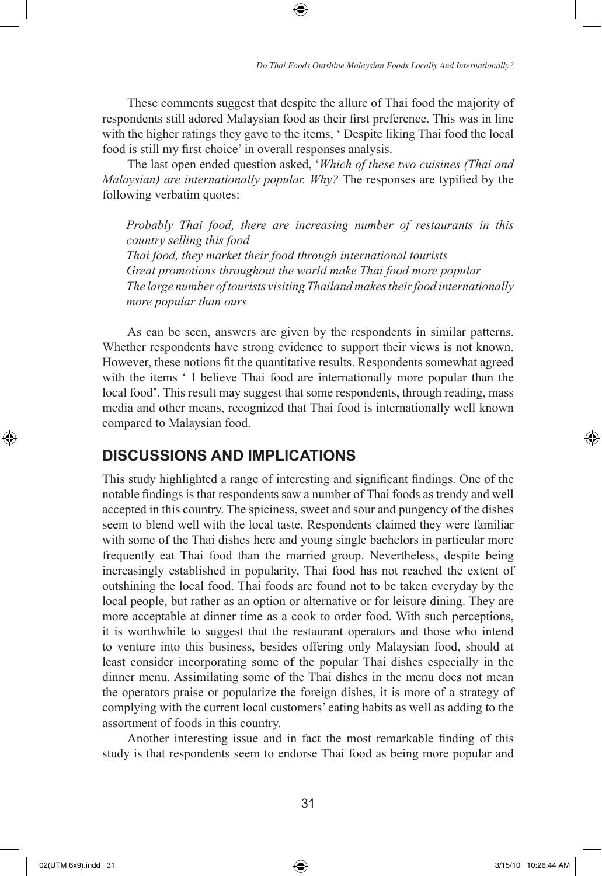These comments suggest that despite the allure of Thai food the majority of respondents still adored Malaysian food as their first preference. This was in line with the higher ratings they gave to the items, ' Despite liking Thai food the local food is still my first choice' in overall responses analysis.

⊕

The last open ended question asked, '*Which of these two cuisines (Thai and Malaysian) are internationally popular. Why?* The responses are typified by the following verbatim quotes:

*Probably Thai food, there are increasing number of restaurants in this country selling this food Thai food, they market their food through international tourists Great promotions throughout the world make Thai food more popular The large number of tourists visiting Thailand makes their food internationally more popular than ours* 

As can be seen, answers are given by the respondents in similar patterns. Whether respondents have strong evidence to support their views is not known. However, these notions fit the quantitative results. Respondents somewhat agreed with the items ' I believe Thai food are internationally more popular than the local food'. This result may suggest that some respondents, through reading, mass media and other means, recognized that Thai food is internationally well known compared to Malaysian food.

## **DISCUSSIONS AND IMPLICATIONS**

This study highlighted a range of interesting and significant findings. One of the notable findings is that respondents saw a number of Thai foods as trendy and well accepted in this country. The spiciness, sweet and sour and pungency of the dishes seem to blend well with the local taste. Respondents claimed they were familiar with some of the Thai dishes here and young single bachelors in particular more frequently eat Thai food than the married group. Nevertheless, despite being increasingly established in popularity, Thai food has not reached the extent of outshining the local food. Thai foods are found not to be taken everyday by the local people, but rather as an option or alternative or for leisure dining. They are more acceptable at dinner time as a cook to order food. With such perceptions, it is worthwhile to suggest that the restaurant operators and those who intend to venture into this business, besides offering only Malaysian food, should at least consider incorporating some of the popular Thai dishes especially in the dinner menu. Assimilating some of the Thai dishes in the menu does not mean the operators praise or popularize the foreign dishes, it is more of a strategy of complying with the current local customers' eating habits as well as adding to the assortment of foods in this country.

Another interesting issue and in fact the most remarkable finding of this study is that respondents seem to endorse Thai food as being more popular and

 $\bigoplus$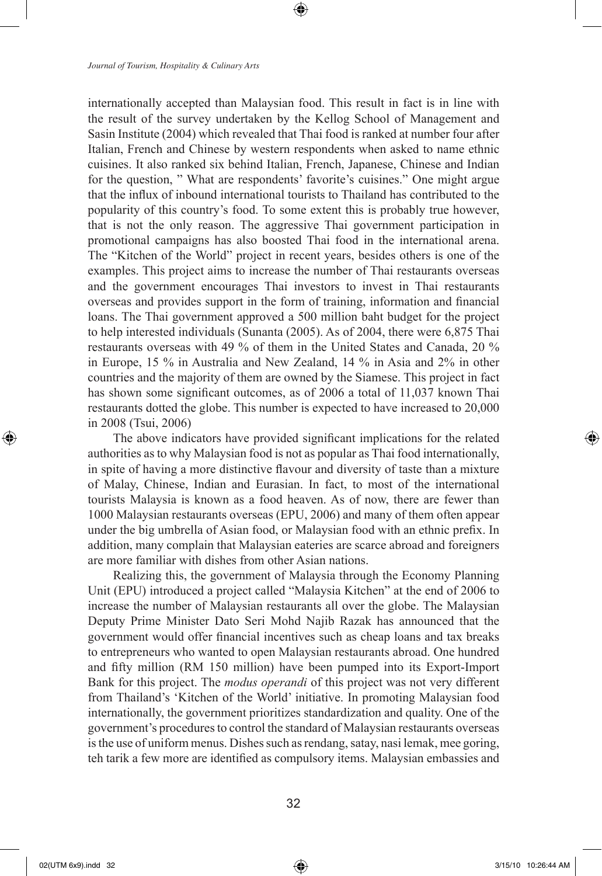internationally accepted than Malaysian food. This result in fact is in line with the result of the survey undertaken by the Kellog School of Management and Sasin Institute (2004) which revealed that Thai food is ranked at number four after Italian, French and Chinese by western respondents when asked to name ethnic cuisines. It also ranked six behind Italian, French, Japanese, Chinese and Indian for the question, " What are respondents' favorite's cuisines." One might argue that the influx of inbound international tourists to Thailand has contributed to the popularity of this country's food. To some extent this is probably true however, that is not the only reason. The aggressive Thai government participation in promotional campaigns has also boosted Thai food in the international arena. The "Kitchen of the World" project in recent years, besides others is one of the examples. This project aims to increase the number of Thai restaurants overseas and the government encourages Thai investors to invest in Thai restaurants overseas and provides support in the form of training, information and financial loans. The Thai government approved a 500 million baht budget for the project to help interested individuals (Sunanta (2005). As of 2004, there were 6,875 Thai restaurants overseas with 49 % of them in the United States and Canada, 20 % in Europe, 15 % in Australia and New Zealand, 14 % in Asia and 2% in other countries and the majority of them are owned by the Siamese. This project in fact has shown some significant outcomes, as of 2006 a total of 11,037 known Thai restaurants dotted the globe. This number is expected to have increased to 20,000 in 2008 (Tsui, 2006)

⊕

The above indicators have provided significant implications for the related authorities as to why Malaysian food is not as popular as Thai food internationally, in spite of having a more distinctive flavour and diversity of taste than a mixture of Malay, Chinese, Indian and Eurasian. In fact, to most of the international tourists Malaysia is known as a food heaven. As of now, there are fewer than 1000 Malaysian restaurants overseas (EPU, 2006) and many of them often appear under the big umbrella of Asian food, or Malaysian food with an ethnic prefix. In addition, many complain that Malaysian eateries are scarce abroad and foreigners are more familiar with dishes from other Asian nations.

Realizing this, the government of Malaysia through the Economy Planning Unit (EPU) introduced a project called "Malaysia Kitchen" at the end of 2006 to increase the number of Malaysian restaurants all over the globe. The Malaysian Deputy Prime Minister Dato Seri Mohd Najib Razak has announced that the government would offer financial incentives such as cheap loans and tax breaks to entrepreneurs who wanted to open Malaysian restaurants abroad. One hundred and fifty million (RM 150 million) have been pumped into its Export-Import Bank for this project. The *modus operandi* of this project was not very different from Thailand's 'Kitchen of the World' initiative. In promoting Malaysian food internationally, the government prioritizes standardization and quality. One of the government's procedures to control the standard of Malaysian restaurants overseas is the use of uniform menus. Dishes such as rendang, satay, nasi lemak, mee goring, teh tarik a few more are identified as compulsory items. Malaysian embassies and

⊕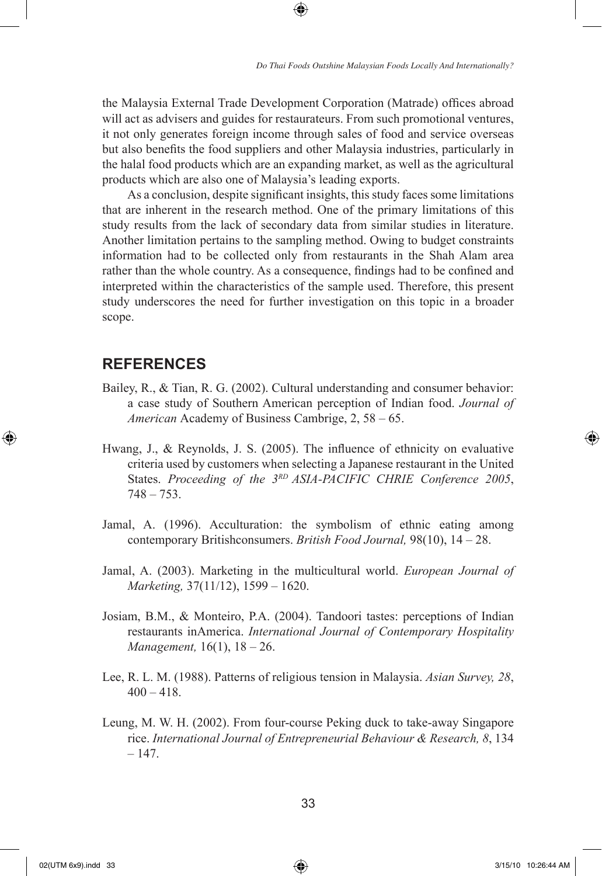the Malaysia External Trade Development Corporation (Matrade) offices abroad will act as advisers and guides for restaurateurs. From such promotional ventures, it not only generates foreign income through sales of food and service overseas but also benefits the food suppliers and other Malaysia industries, particularly in the halal food products which are an expanding market, as well as the agricultural products which are also one of Malaysia's leading exports.

⊕

As a conclusion, despite significant insights, this study faces some limitations that are inherent in the research method. One of the primary limitations of this study results from the lack of secondary data from similar studies in literature. Another limitation pertains to the sampling method. Owing to budget constraints information had to be collected only from restaurants in the Shah Alam area rather than the whole country. As a consequence, findings had to be confined and interpreted within the characteristics of the sample used. Therefore, this present study underscores the need for further investigation on this topic in a broader scope.

### **REFERENCES**

- Bailey, R., & Tian, R. G. (2002). Cultural understanding and consumer behavior: a case study of Southern American perception of Indian food. *Journal of American* Academy of Business Cambrige, 2, 58 – 65.
- Hwang, J., & Reynolds, J. S. (2005). The influence of ethnicity on evaluative criteria used by customers when selecting a Japanese restaurant in the United States. *Proceeding of the 3RD ASIA-PACIFIC CHRIE Conference 2005*,  $748 - 753$ .
- Jamal, A. (1996). Acculturation: the symbolism of ethnic eating among contemporary Britishconsumers. *British Food Journal,* 98(10), 14 – 28.
- Jamal, A. (2003). Marketing in the multicultural world. *European Journal of Marketing,* 37(11/12), 1599 – 1620.
- Josiam, B.M., & Monteiro, P.A. (2004). Tandoori tastes: perceptions of Indian restaurants inAmerica. *International Journal of Contemporary Hospitality Management,* 16(1), 18 – 26.
- Lee, R. L. M. (1988). Patterns of religious tension in Malaysia. *Asian Survey, 28*,  $400 - 418$ .
- Leung, M. W. H. (2002). From four-course Peking duck to take-away Singapore rice. *International Journal of Entrepreneurial Behaviour & Research, 8*, 134 – 147.

⊕